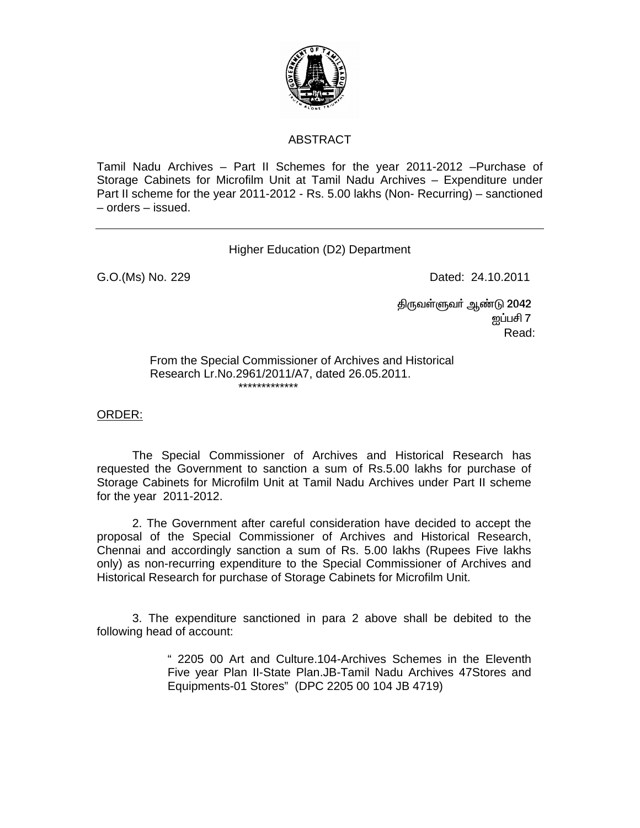

## ABSTRACT

Tamil Nadu Archives – Part II Schemes for the year 2011-2012 –Purchase of Storage Cabinets for Microfilm Unit at Tamil Nadu Archives – Expenditure under Part II scheme for the year 2011-2012 - Rs. 5.00 lakhs (Non- Recurring) – sanctioned – orders – issued.

## Higher Education (D2) Department

G.O.(Ms) No. 229 **Dated: 24.10.2011** 

திருவள்ளுவா் ஆண்டு 2042  $\mathop{\rm gmin}\nolimits\{1,2,3,4\}$ **Read:** The contract of the contract of the contract of the contract of the contract of the contract of the contract of the contract of the contract of the contract of the contract of the contract of the contract of the co

> From the Special Commissioner of Archives and Historical Research Lr.No.2961/2011/A7, dated 26.05.2011. \*\*\*\*\*\*\*\*\*\*\*\*\*

ORDER:

 The Special Commissioner of Archives and Historical Research has requested the Government to sanction a sum of Rs.5.00 lakhs for purchase of Storage Cabinets for Microfilm Unit at Tamil Nadu Archives under Part II scheme for the year 2011-2012.

 2. The Government after careful consideration have decided to accept the proposal of the Special Commissioner of Archives and Historical Research, Chennai and accordingly sanction a sum of Rs. 5.00 lakhs (Rupees Five lakhs only) as non-recurring expenditure to the Special Commissioner of Archives and Historical Research for purchase of Storage Cabinets for Microfilm Unit.

 3. The expenditure sanctioned in para 2 above shall be debited to the following head of account:

> " 2205 00 Art and Culture.104-Archives Schemes in the Eleventh Five year Plan II-State Plan.JB-Tamil Nadu Archives 47Stores and Equipments-01 Stores" (DPC 2205 00 104 JB 4719)